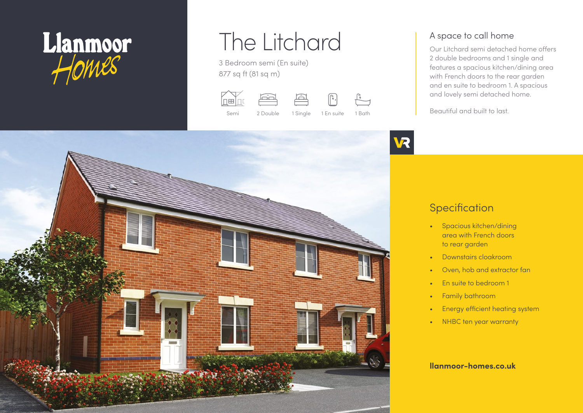

# The Litchard

3 Bedroom semi (En suite) 877 sq ft (81 sq m)

حتطر lnælni







A space to call home

Our Litchard semi detached home offers 2 double bedrooms and 1 single and features a spacious kitchen/dining area with French doors to the rear garden and en suite to bedroom 1. A spacious and lovely semi detached home.

Beautiful and built to last.



# **Specification**

- Spacious kitchen/dining area with French doors to rear garden
- Downstairs cloakroom
- Oven, hob and extractor fan
- En suite to bedroom 1
- Family bathroom
- Energy efficient heating system
- NHBC ten year warranty

#### **llanmoor-homes.co.uk**